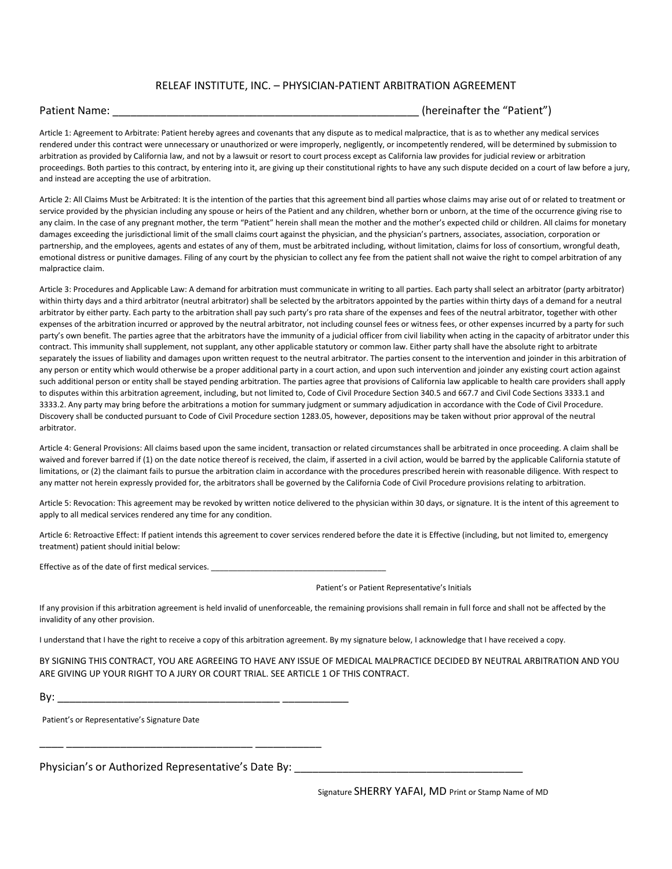### RELEAF INSTITUTE, INC. – PHYSICIAN-PATIENT ARBITRATION AGREEMENT

Patient Name:  $\blacksquare$  (hereinafter the "Patient")

Article 1: Agreement to Arbitrate: Patient hereby agrees and covenants that any dispute as to medical malpractice, that is as to whether any medical services rendered under this contract were unnecessary or unauthorized or were improperly, negligently, or incompetently rendered, will be determined by submission to arbitration as provided by California law, and not by a lawsuit or resort to court process except as California law provides for judicial review or arbitration proceedings. Both parties to this contract, by entering into it, are giving up their constitutional rights to have any such dispute decided on a court of law before a jury, and instead are accepting the use of arbitration.

Article 2: All Claims Must be Arbitrated: It is the intention of the parties that this agreement bind all parties whose claims may arise out of or related to treatment or service provided by the physician including any spouse or heirs of the Patient and any children, whether born or unborn, at the time of the occurrence giving rise to any claim. In the case of any pregnant mother, the term "Patient" herein shall mean the mother and the mother's expected child or children. All claims for monetary damages exceeding the jurisdictional limit of the small claims court against the physician, and the physician's partners, associates, association, corporation or partnership, and the employees, agents and estates of any of them, must be arbitrated including, without limitation, claims for loss of consortium, wrongful death, emotional distress or punitive damages. Filing of any court by the physician to collect any fee from the patient shall not waive the right to compel arbitration of any malpractice claim.

Article 3: Procedures and Applicable Law: A demand for arbitration must communicate in writing to all parties. Each party shall select an arbitrator (party arbitrator) within thirty days and a third arbitrator (neutral arbitrator) shall be selected by the arbitrators appointed by the parties within thirty days of a demand for a neutral arbitrator by either party. Each party to the arbitration shall pay such party's pro rata share of the expenses and fees of the neutral arbitrator, together with other expenses of the arbitration incurred or approved by the neutral arbitrator, not including counsel fees or witness fees, or other expenses incurred by a party for such party's own benefit. The parties agree that the arbitrators have the immunity of a judicial officer from civil liability when acting in the capacity of arbitrator under this contract. This immunity shall supplement, not supplant, any other applicable statutory or common law. Either party shall have the absolute right to arbitrate separately the issues of liability and damages upon written request to the neutral arbitrator. The parties consent to the intervention and joinder in this arbitration of any person or entity which would otherwise be a proper additional party in a court action, and upon such intervention and joinder any existing court action against such additional person or entity shall be stayed pending arbitration. The parties agree that provisions of California law applicable to health care providers shall apply to disputes within this arbitration agreement, including, but not limited to, Code of Civil Procedure Section 340.5 and 667.7 and Civil Code Sections 3333.1 and 3333.2. Any party may bring before the arbitrations a motion for summary judgment or summary adjudication in accordance with the Code of Civil Procedure. Discovery shall be conducted pursuant to Code of Civil Procedure section 1283.05, however, depositions may be taken without prior approval of the neutral arbitrator.

Article 4: General Provisions: All claims based upon the same incident, transaction or related circumstances shall be arbitrated in once proceeding. A claim shall be waived and forever barred if (1) on the date notice thereof is received, the claim, if asserted in a civil action, would be barred by the applicable California statute of limitations, or (2) the claimant fails to pursue the arbitration claim in accordance with the procedures prescribed herein with reasonable diligence. With respect to any matter not herein expressly provided for, the arbitrators shall be governed by the California Code of Civil Procedure provisions relating to arbitration.

Article 5: Revocation: This agreement may be revoked by written notice delivered to the physician within 30 days, or signature. It is the intent of this agreement to apply to all medical services rendered any time for any condition.

Article 6: Retroactive Effect: If patient intends this agreement to cover services rendered before the date it is Effective (including, but not limited to, emergency treatment) patient should initial below:

Effective as of the date of first medical services. \_\_\_\_\_\_\_\_\_\_\_\_\_\_\_\_\_\_\_\_\_\_\_\_\_\_\_\_\_

Patient's or Patient Representative's Initials

If any provision if this arbitration agreement is held invalid of unenforceable, the remaining provisions shall remain in full force and shall not be affected by the invalidity of any other provision.

I understand that I have the right to receive a copy of this arbitration agreement. By my signature below, I acknowledge that I have received a copy.

BY SIGNING THIS CONTRACT, YOU ARE AGREEING TO HAVE ANY ISSUE OF MEDICAL MALPRACTICE DECIDED BY NEUTRAL ARBITRATION AND YOU ARE GIVING UP YOUR RIGHT TO A JURY OR COURT TRIAL. SEE ARTICLE 1 OF THIS CONTRACT.

By: \_\_\_\_\_\_\_\_\_\_\_\_\_\_\_\_\_\_\_\_\_\_\_\_\_\_\_\_\_\_\_\_\_\_\_\_\_ \_\_\_\_\_\_\_\_\_\_\_

\_\_\_\_ \_\_\_\_\_\_\_\_\_\_\_\_\_\_\_\_\_\_\_\_\_\_\_\_\_\_\_\_\_\_\_ \_\_\_\_\_\_\_\_\_\_\_

Patient's or Representative's Signature Date

Physician's or Authorized Representative's Date By:

Signature SHERRY YAFAI, MD Print or Stamp Name of MD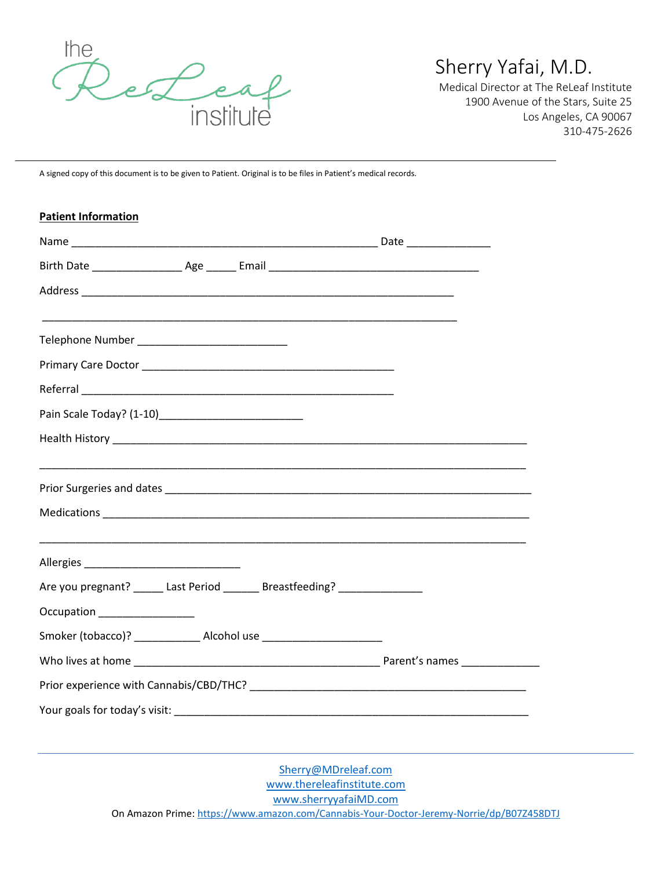

# Sherry Yafai, M.D.

Medical Director at The ReLeaf Institute 1900 Avenue of the Stars, Suite 25 Los Angeles, CA 90067 310-475-2626

A signed copy of this document is to be given to Patient. Original is to be files in Patient's medical records.

| <b>Patient Information</b>                                                                                     |  |
|----------------------------------------------------------------------------------------------------------------|--|
|                                                                                                                |  |
|                                                                                                                |  |
|                                                                                                                |  |
|                                                                                                                |  |
|                                                                                                                |  |
|                                                                                                                |  |
|                                                                                                                |  |
|                                                                                                                |  |
|                                                                                                                |  |
|                                                                                                                |  |
|                                                                                                                |  |
|                                                                                                                |  |
|                                                                                                                |  |
|                                                                                                                |  |
| Are you pregnant? ______ Last Period _______ Breastfeeding? _______________                                    |  |
| Occupation<br><u>____________________</u>                                                                      |  |
| Smoker (tobacco)? ________________ Alcohol use _________________________________                               |  |
|                                                                                                                |  |
| Prior experience with Cannabis/CBD/THC? Letter and the control of the control of the control of the control of |  |
|                                                                                                                |  |

[Sherry@MDreleaf.com](mailto:Sherry@MDreleaf.com) [www.thereleafinstitute.com](http://www.thereleafinstitute.com/) [www.sherryyafaiMD.com](http://www.sherryyafaimd.com/) On Amazon Prime:<https://www.amazon.com/Cannabis-Your-Doctor-Jeremy-Norrie/dp/B07Z458DTJ>